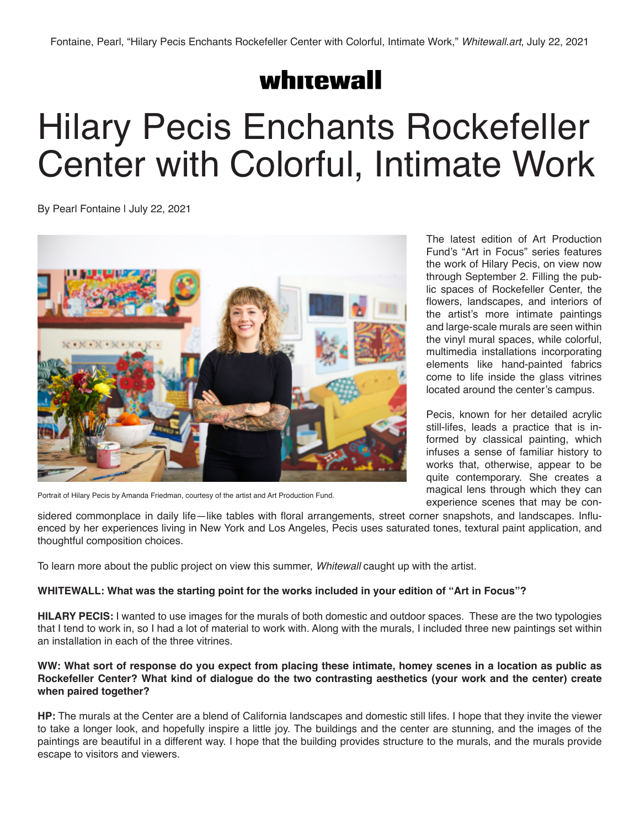# whitewall

# Hilary Pecis Enchants Rockefeller Center with Colorful, Intimate Work

By Pearl Fontaine | July 22, 2021



Portrait of Hilary Pecis by Amanda Friedman, courtesy of the artist and Art Production Fund.

The latest edition of Art Production Fund's "Art in Focus" series features the work of Hilary Pecis, on view now through September 2. Filling the public spaces of Rockefeller Center, the flowers, landscapes, and interiors of the artist's more intimate paintings and large-scale murals are seen within the vinyl mural spaces, while colorful, multimedia installations incorporating elements like hand-painted fabrics come to life inside the glass vitrines located around the center's campus.

Pecis, known for her detailed acrylic still-lifes, leads a practice that is informed by classical painting, which infuses a sense of familiar history to works that, otherwise, appear to be quite contemporary. She creates a magical lens through which they can experience scenes that may be con-

sidered commonplace in daily life—like tables with floral arrangements, street corner snapshots, and landscapes. Influenced by her experiences living in New York and Los Angeles, Pecis uses saturated tones, textural paint application, and thoughtful composition choices.

To learn more about the public project on view this summer, *Whitewall* caught up with the artist.

# **WHITEWALL: What was the starting point for the works included in your edition of "Art in Focus"?**

**HILARY PECIS:** I wanted to use images for the murals of both domestic and outdoor spaces. These are the two typologies that I tend to work in, so I had a lot of material to work with. Along with the murals, I included three new paintings set within an installation in each of the three vitrines.

## **WW: What sort of response do you expect from placing these intimate, homey scenes in a location as public as Rockefeller Center? What kind of dialogue do the two contrasting aesthetics (your work and the center) create when paired together?**

**HP:** The murals at the Center are a blend of California landscapes and domestic still lifes. I hope that they invite the viewer to take a longer look, and hopefully inspire a little joy. The buildings and the center are stunning, and the images of the paintings are beautiful in a different way. I hope that the building provides structure to the murals, and the murals provide escape to visitors and viewers.